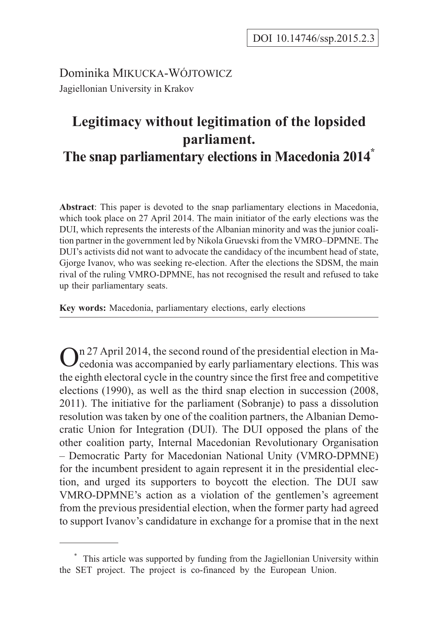Dominika MIKUCKA-WÓJTOWICZ Jagiellonian University in Krakov

# **Legitimacy without legitimation of the lopsided parliament. The snap parliamentary elections in Macedonia 2014\***

**Abstract**: This paper is devoted to the snap parliamentary elections in Macedonia, which took place on 27 April 2014. The main initiator of the early elections was the DUI, which represents the interests of the Albanian minority and was the junior coalition partner in the government led by Nikola Gruevski from the VMRO–DPMNE. The DUI's activists did not want to advocate the candidacy of the incumbent head of state, Gjorge Ivanov, who was seeking re-election. After the elections the SDSM, the main rival of the ruling VMRO-DPMNE, has not recognised the result and refused to take up their parliamentary seats.

**Key words:** Macedonia, parliamentary elections, early elections

 $\sum_{\text{cedonia was seen}}$  No. 11. cedonia was accompanied by early parliamentary elections. This was the eighth electoral cycle in the country since the first free and competitive elections (1990), as well as the third snap election in succession (2008, 2011). The initiative for the parliament (Sobranje) to pass a dissolution resolution was taken by one of the coalition partners, the Albanian Democratic Union for Integration (DUI). The DUI opposed the plans of the other coalition party, Internal Macedonian Revolutionary Organisation – Democratic Party for Macedonian National Unity (VMRO-DPMNE) for the incumbent president to again represent it in the presidential election, and urged its supporters to boycott the election. The DUI saw VMRO-DPMNE's action as a violation of the gentlemen's agreement from the previous presidential election, when the former party had agreed to support Ivanov's candidature in exchange for a promise that in the next

This article was supported by funding from the Jagiellonian University within the SET project. The project is co-financed by the European Union.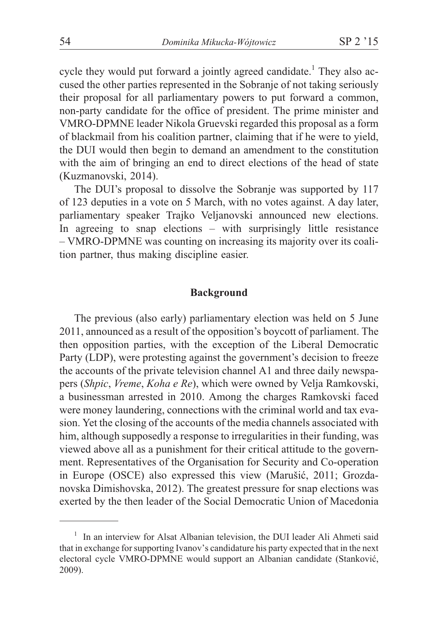cycle they would put forward a jointly agreed candidate.<sup>1</sup> They also accused the other parties represented in the Sobranje of not taking seriously their proposal for all parliamentary powers to put forward a common, non-party candidate for the office of president. The prime minister and VMRO-DPMNE leader Nikola Gruevski regarded this proposal as a form of blackmail from his coalition partner, claiming that if he were to yield, the DUI would then begin to demand an amendment to the constitution with the aim of bringing an end to direct elections of the head of state (Kuzmanovski, 2014).

The DUI's proposal to dissolve the Sobranje was supported by 117 of 123 deputies in a vote on 5 March, with no votes against. A day later, parliamentary speaker Trajko Veljanovski announced new elections. In agreeing to snap elections – with surprisingly little resistance – VMRO-DPMNE was counting on increasing its majority over its coalition partner, thus making discipline easier.

## **Background**

The previous (also early) parliamentary election was held on 5 June 2011, announced as a result of the opposition's boycott of parliament. The then opposition parties, with the exception of the Liberal Democratic Party (LDP), were protesting against the government's decision to freeze the accounts of the private television channel A1 and three daily newspapers (*Shpic*, *Vreme*, *Koha e Re*), which were owned by Velja Ramkovski, a businessman arrested in 2010. Among the charges Ramkovski faced were money laundering, connections with the criminal world and tax evasion. Yet the closing of the accounts of the media channels associated with him, although supposedly a response to irregularities in their funding, was viewed above all as a punishment for their critical attitude to the government. Representatives of the Organisation for Security and Co-operation in Europe (OSCE) also expressed this view (Marušić, 2011; Grozdanovska Dimishovska, 2012). The greatest pressure for snap elections was exerted by the then leader of the Social Democratic Union of Macedonia

<sup>&</sup>lt;sup>1</sup> In an interview for Alsat Albanian television, the DUI leader Ali Ahmeti said that in exchange for supporting Ivanov's candidature his party expected that in the next electoral cycle VMRO-DPMNE would support an Albanian candidate (Stanković, 2009).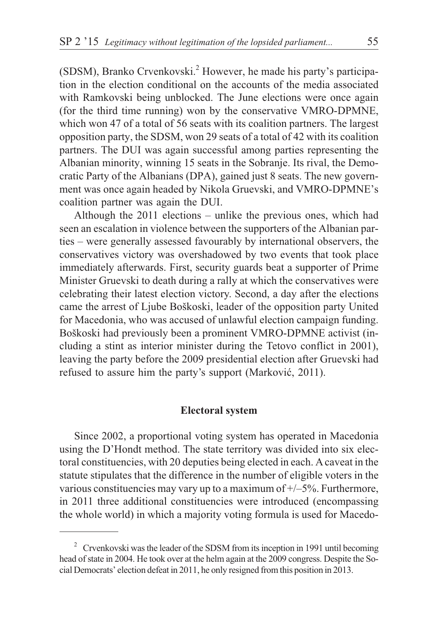$(SDSM)$ , Branko Crvenkovski.<sup>2</sup> However, he made his party's participation in the election conditional on the accounts of the media associated with Ramkovski being unblocked. The June elections were once again (for the third time running) won by the conservative VMRO-DPMNE, which won 47 of a total of 56 seats with its coalition partners. The largest opposition party, the SDSM, won 29 seats of a total of 42 with its coalition partners. The DUI was again successful among parties representing the Albanian minority, winning 15 seats in the Sobranje. Its rival, the Democratic Party of the Albanians (DPA), gained just 8 seats. The new government was once again headed by Nikola Gruevski, and VMRO-DPMNE's coalition partner was again the DUI.

Although the 2011 elections – unlike the previous ones, which had seen an escalation in violence between the supporters of the Albanian parties – were generally assessed favourably by international observers, the conservatives victory was overshadowed by two events that took place immediately afterwards. First, security guards beat a supporter of Prime Minister Gruevski to death during a rally at which the conservatives were celebrating their latest election victory. Second, a day after the elections came the arrest of Ljube Boškoski, leader of the opposition party United for Macedonia, who was accused of unlawful election campaign funding. Boškoski had previously been a prominent VMRO-DPMNE activist (including a stint as interior minister during the Tetovo conflict in 2001), leaving the party before the 2009 presidential election after Gruevski had refused to assure him the party's support (Marković, 2011).

# **Electoral system**

Since 2002, a proportional voting system has operated in Macedonia using the D'Hondt method. The state territory was divided into six electoral constituencies, with 20 deputies being elected in each. Acaveat in the statute stipulates that the difference in the number of eligible voters in the various constituencies may vary up to a maximum of  $+/-5\%$ . Furthermore, in 2011 three additional constituencies were introduced (encompassing the whole world) in which a majority voting formula is used for Macedo-

<sup>&</sup>lt;sup>2</sup> Crvenkovski was the leader of the SDSM from its inception in 1991 until becoming head of state in 2004. He took over at the helm again at the 2009 congress. Despite the Social Democrats' election defeat in 2011, he only resigned from this position in 2013.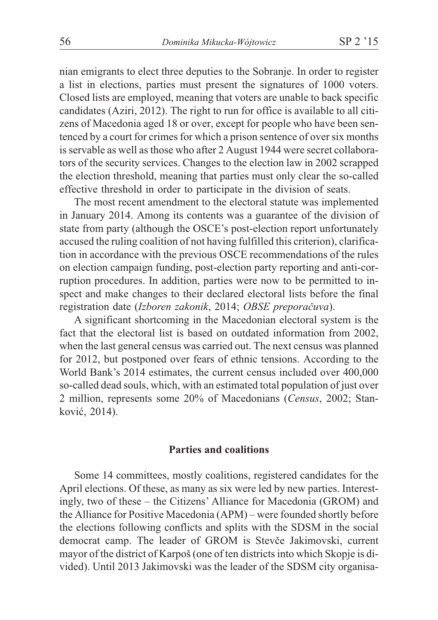nian emigrants to elect three deputies to the Sobranje. In order to register a list in elections, parties must present the signatures of 1000 voters. Closed lists are employed, meaning that voters are unable to back specific candidates (Aziri, 2012). The right to run for office is available to all citizens of Macedonia aged 18 or over, except for people who have been sentenced by a court for crimes for which a prison sentence of over six months is servable as well as those who after 2 August 1944 were secret collaborators of the security services. Changes to the election law in 2002 scrapped the election threshold, meaning that parties must only clear the so-called effective threshold in order to participate in the division of seats.

The most recent amendment to the electoral statute was implemented in January 2014. Among its contents was a guarantee of the division of state from party (although the OSCE's post-election report unfortunately accused the ruling coalition of not having fulfilled this criterion), clarification in accordance with the previous OSCE recommendations of the rules on election campaign funding, post-election party reporting and anti-corruption procedures. In addition, parties were now to be permitted to inspect and make changes to their declared electoral lists before the final registration date (*Izboren zakonik*, 2014; *OBSE preporaèuva*).

A significant shortcoming in the Macedonian electoral system is the fact that the electoral list is based on outdated information from 2002, when the last general census was carried out. The next census was planned for 2012, but postponed over fears of ethnic tensions. According to the World Bank's 2014 estimates, the current census included over 400,000 so-called dead souls, which, with an estimated total population of just over 2 million, represents some 20% of Macedonians (*Census*, 2002; Stanković, 2014).

## **Parties and coalitions**

Some 14 committees, mostly coalitions, registered candidates for the April elections. Of these, as many as six were led by new parties. Interestingly, two of these – the Citizens' Alliance for Macedonia (GROM) and the Alliance for Positive Macedonia (APM) – were founded shortly before the elections following conflicts and splits with the SDSM in the social democrat camp. The leader of GROM is Stevče Jakimovski, current mayor of the district of Karpoš (one of ten districts into which Skopje is divided). Until 2013 Jakimovski was the leader of the SDSM city organisa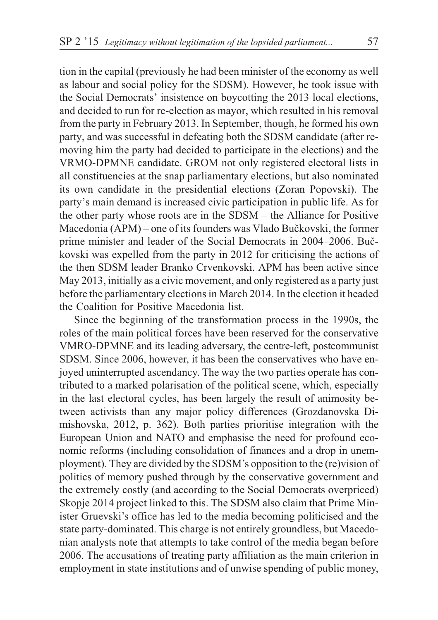tion in the capital (previously he had been minister of the economy as well as labour and social policy for the SDSM). However, he took issue with the Social Democrats' insistence on boycotting the 2013 local elections, and decided to run for re-election as mayor, which resulted in his removal from the party in February 2013. In September, though, he formed his own party, and was successful in defeating both the SDSM candidate (after removing him the party had decided to participate in the elections) and the VRMO-DPMNE candidate. GROM not only registered electoral lists in all constituencies at the snap parliamentary elections, but also nominated its own candidate in the presidential elections (Zoran Popovski). The party's main demand is increased civic participation in public life. As for the other party whose roots are in the SDSM – the Alliance for Positive Macedonia (APM) – one of its founders was Vlado Buèkovski, the former prime minister and leader of the Social Democrats in 2004–2006. Buèkovski was expelled from the party in 2012 for criticising the actions of the then SDSM leader Branko Crvenkovski. APM has been active since May 2013, initially as a civic movement, and only registered as a party just before the parliamentary elections in March 2014. In the election it headed the Coalition for Positive Macedonia list.

Since the beginning of the transformation process in the 1990s, the roles of the main political forces have been reserved for the conservative VMRO-DPMNE and its leading adversary, the centre-left, postcommunist SDSM. Since 2006, however, it has been the conservatives who have enjoyed uninterrupted ascendancy. The way the two parties operate has contributed to a marked polarisation of the political scene, which, especially in the last electoral cycles, has been largely the result of animosity between activists than any major policy differences (Grozdanovska Dimishovska, 2012, p. 362). Both parties prioritise integration with the European Union and NATO and emphasise the need for profound economic reforms (including consolidation of finances and a drop in unemployment). They are divided by the SDSM's opposition to the (re)vision of politics of memory pushed through by the conservative government and the extremely costly (and according to the Social Democrats overpriced) Skopje 2014 project linked to this. The SDSM also claim that Prime Minister Gruevski's office has led to the media becoming politicised and the state party-dominated. This charge is not entirely groundless, but Macedonian analysts note that attempts to take control of the media began before 2006. The accusations of treating party affiliation as the main criterion in employment in state institutions and of unwise spending of public money,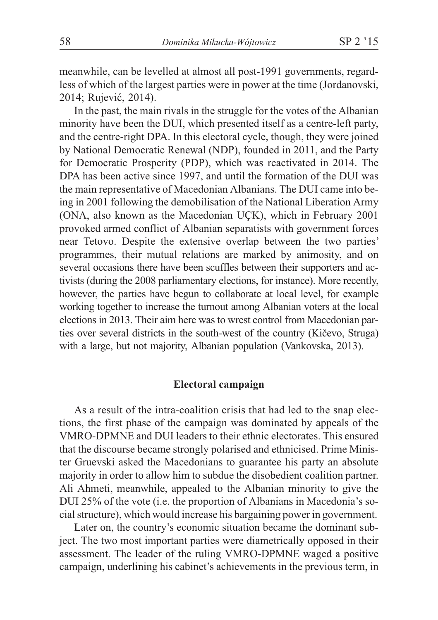meanwhile, can be levelled at almost all post-1991 governments, regardless of which of the largest parties were in power at the time (Jordanovski, 2014; Rujević, 2014).

In the past, the main rivals in the struggle for the votes of the Albanian minority have been the DUI, which presented itself as a centre-left party, and the centre-right DPA. In this electoral cycle, though, they were joined by National Democratic Renewal (NDP), founded in 2011, and the Party for Democratic Prosperity (PDP), which was reactivated in 2014. The DPA has been active since 1997, and until the formation of the DUI was the main representative of Macedonian Albanians. The DUI came into being in 2001 following the demobilisation of the National Liberation Army (ONA, also known as the Macedonian UÇK), which in February 2001 provoked armed conflict of Albanian separatists with government forces near Tetovo. Despite the extensive overlap between the two parties' programmes, their mutual relations are marked by animosity, and on several occasions there have been scuffles between their supporters and activists (during the 2008 parliamentary elections, for instance). More recently, however, the parties have begun to collaborate at local level, for example working together to increase the turnout among Albanian voters at the local elections in 2013. Their aim here was to wrest control from Macedonian parties over several districts in the south-west of the country (Kièevo, Struga) with a large, but not majority, Albanian population (Vankovska, 2013).

## **Electoral campaign**

As a result of the intra-coalition crisis that had led to the snap elections, the first phase of the campaign was dominated by appeals of the VMRO-DPMNE and DUI leaders to their ethnic electorates. This ensured that the discourse became strongly polarised and ethnicised. Prime Minister Gruevski asked the Macedonians to guarantee his party an absolute majority in order to allow him to subdue the disobedient coalition partner. Ali Ahmeti, meanwhile, appealed to the Albanian minority to give the DUI 25% of the vote (i.e. the proportion of Albanians in Macedonia's social structure), which would increase his bargaining power in government.

Later on, the country's economic situation became the dominant subject. The two most important parties were diametrically opposed in their assessment. The leader of the ruling VMRO-DPMNE waged a positive campaign, underlining his cabinet's achievements in the previous term, in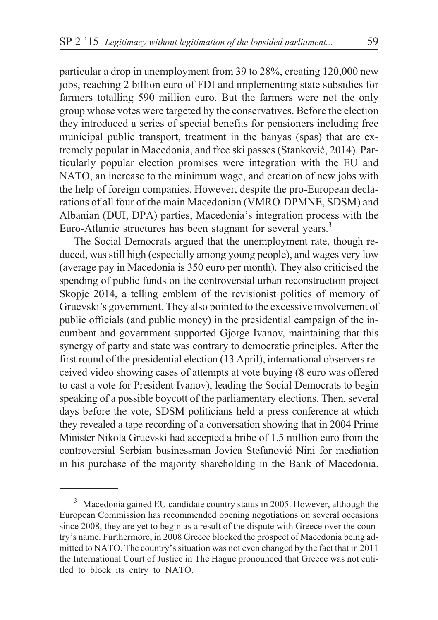particular a drop in unemployment from 39 to 28%, creating 120,000 new jobs, reaching 2 billion euro of FDI and implementing state subsidies for farmers totalling 590 million euro. But the farmers were not the only group whose votes were targeted by the conservatives. Before the election they introduced a series of special benefits for pensioners including free municipal public transport, treatment in the banyas (spas) that are extremely popular in Macedonia, and free ski passes (Stanković, 2014). Particularly popular election promises were integration with the EU and NATO, an increase to the minimum wage, and creation of new jobs with the help of foreign companies. However, despite the pro-European declarations of all four of the main Macedonian (VMRO-DPMNE, SDSM) and Albanian (DUI, DPA) parties, Macedonia's integration process with the Euro-Atlantic structures has been stagnant for several years.<sup>3</sup>

The Social Democrats argued that the unemployment rate, though reduced, was still high (especially among young people), and wages very low (average pay in Macedonia is 350 euro per month). They also criticised the spending of public funds on the controversial urban reconstruction project Skopje 2014, a telling emblem of the revisionist politics of memory of Gruevski's government. They also pointed to the excessive involvement of public officials (and public money) in the presidential campaign of the incumbent and government-supported Gjorge Ivanov, maintaining that this synergy of party and state was contrary to democratic principles. After the first round of the presidential election (13 April), international observers received video showing cases of attempts at vote buying (8 euro was offered to cast a vote for President Ivanov), leading the Social Democrats to begin speaking of a possible boycott of the parliamentary elections. Then, several days before the vote, SDSM politicians held a press conference at which they revealed a tape recording of a conversation showing that in 2004 Prime Minister Nikola Gruevski had accepted a bribe of 1.5 million euro from the controversial Serbian businessman Jovica Stefanović Nini for mediation in his purchase of the majority shareholding in the Bank of Macedonia.

<sup>&</sup>lt;sup>3</sup> Macedonia gained EU candidate country status in 2005. However, although the European Commission has recommended opening negotiations on several occasions since 2008, they are yet to begin as a result of the dispute with Greece over the country's name. Furthermore, in 2008 Greece blocked the prospect of Macedonia being admitted to NATO. The country's situation was not even changed by the fact that in 2011 the International Court of Justice in The Hague pronounced that Greece was not entitled to block its entry to NATO.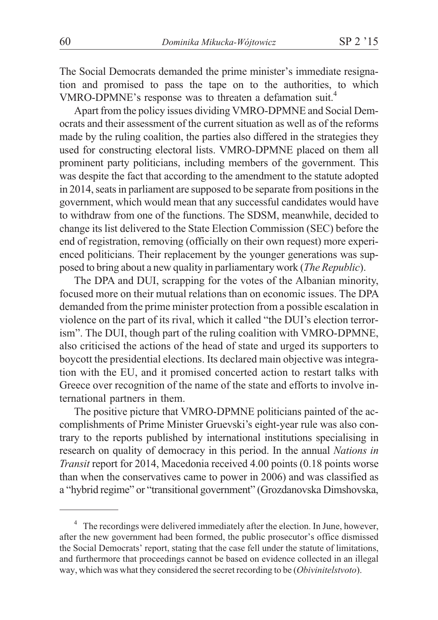The Social Democrats demanded the prime minister's immediate resignation and promised to pass the tape on to the authorities, to which VMRO-DPMNE's response was to threaten a defamation suit.<sup>4</sup>

Apart from the policy issues dividing VMRO-DPMNE and Social Democrats and their assessment of the current situation as well as of the reforms made by the ruling coalition, the parties also differed in the strategies they used for constructing electoral lists. VMRO-DPMNE placed on them all prominent party politicians, including members of the government. This was despite the fact that according to the amendment to the statute adopted in 2014, seats in parliament are supposed to be separate from positions in the government, which would mean that any successful candidates would have to withdraw from one of the functions. The SDSM, meanwhile, decided to change its list delivered to the State Election Commission (SEC) before the end of registration, removing (officially on their own request) more experienced politicians. Their replacement by the younger generations was supposed to bring about a new quality in parliamentary work (*The Republic*).

The DPA and DUI, scrapping for the votes of the Albanian minority, focused more on their mutual relations than on economic issues. The DPA demanded from the prime minister protection from a possible escalation in violence on the part of its rival, which it called "the DUI's election terrorism". The DUI, though part of the ruling coalition with VMRO-DPMNE, also criticised the actions of the head of state and urged its supporters to boycott the presidential elections. Its declared main objective was integration with the EU, and it promised concerted action to restart talks with Greece over recognition of the name of the state and efforts to involve international partners in them.

The positive picture that VMRO-DPMNE politicians painted of the accomplishments of Prime Minister Gruevski's eight-year rule was also contrary to the reports published by international institutions specialising in research on quality of democracy in this period. In the annual *Nations in Transit* report for 2014, Macedonia received 4.00 points (0.18 points worse than when the conservatives came to power in 2006) and was classified as a "hybrid regime" or "transitional government" (Grozdanovska Dimshovska,

<sup>4</sup> The recordings were delivered immediately after the election. In June, however, after the new government had been formed, the public prosecutor's office dismissed the Social Democrats' report, stating that the case fell under the statute of limitations, and furthermore that proceedings cannot be based on evidence collected in an illegal way, which was what they considered the secret recording to be (*Obivinitelstvoto*).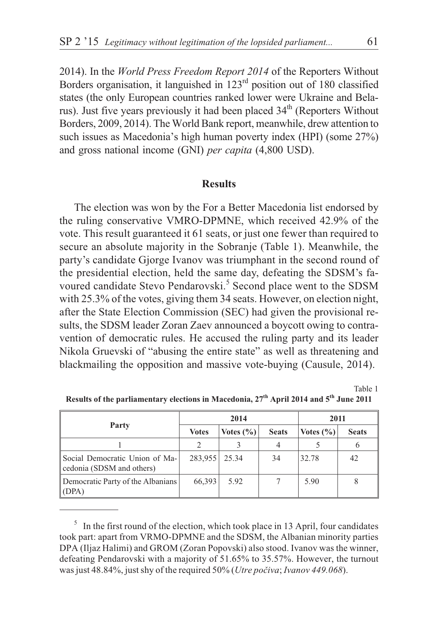2014). In the *World Press Freedom Report 2014* of the Reporters Without Borders organisation, it languished in 123rd position out of 180 classified states (the only European countries ranked lower were Ukraine and Belarus). Just five years previously it had been placed 34<sup>th</sup> (Reporters Without Borders, 2009, 2014). The World Bank report, meanwhile, drew attention to such issues as Macedonia's high human poverty index (HPI) (some 27%) and gross national income (GNI) *per capita* (4,800 USD).

#### **Results**

The election was won by the For a Better Macedonia list endorsed by the ruling conservative VMRO-DPMNE, which received 42.9% of the vote. This result guaranteed it 61 seats, or just one fewer than required to secure an absolute majority in the Sobranje (Table 1). Meanwhile, the party's candidate Gjorge Ivanov was triumphant in the second round of the presidential election, held the same day, defeating the SDSM's favoured candidate Stevo Pendarovski.<sup>5</sup> Second place went to the SDSM with 25.3% of the votes, giving them 34 seats. However, on election night, after the State Election Commission (SEC) had given the provisional results, the SDSM leader Zoran Zaev announced a boycott owing to contravention of democratic rules. He accused the ruling party and its leader Nikola Gruevski of "abusing the entire state" as well as threatening and blackmailing the opposition and massive vote-buying (Causule, 2014).

Table 1

| Party                                                       | 2014           |               |              | 2011          |              |
|-------------------------------------------------------------|----------------|---------------|--------------|---------------|--------------|
|                                                             | <b>Votes</b>   | Votes $(\% )$ | <b>Seats</b> | Votes $(\% )$ | <b>Seats</b> |
|                                                             | $\mathfrak{D}$ |               |              |               |              |
| Social Democratic Union of Ma-<br>cedonia (SDSM and others) | 283,955 25.34  |               | 34           | 32.78         | 42           |
| Democratic Party of the Albanians<br>(DPA)                  | 66,393         | 5.92          |              | 5.90          |              |

**Results of the parliamentary elections in Macedonia, 27th April 2014 and 5th June 2011**

<sup>&</sup>lt;sup>5</sup> In the first round of the election, which took place in 13 April, four candidates took part: apart from VRMO-DPMNE and the SDSM, the Albanian minority parties DPA (Iljaz Halimi) and GROM (Zoran Popovski) also stood. Ivanov was the winner, defeating Pendarovski with a majority of 51.65% to 35.57%. However, the turnout was just 48.84%, just shy of the required 50% (*Utre poèiva*; *Ivanov 449.068*).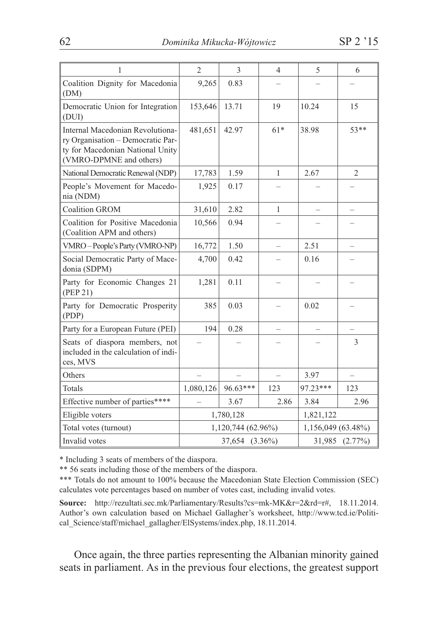| 1                                                                                                                                    | $\overline{c}$ | 3                  | $\overline{4}$     | 5              | 6              |
|--------------------------------------------------------------------------------------------------------------------------------------|----------------|--------------------|--------------------|----------------|----------------|
| Coalition Dignity for Macedonia<br>(DM)                                                                                              | 9,265          | 0.83               |                    |                |                |
| Democratic Union for Integration<br>(DUI)                                                                                            | 153,646        | 13.71              | 19                 | 10.24          | 15             |
| Internal Macedonian Revolutiona-<br>ry Organisation - Democratic Par-<br>ty for Macedonian National Unity<br>(VMRO-DPMNE and others) | 481,651        | 42.97              | $61*$              | 38.98          | $53**$         |
| National Democratic Renewal (NDP)                                                                                                    | 17,783         | 1.59               | 1                  | 2.67           | $\overline{2}$ |
| People's Movement for Macedo-<br>nia (NDM)                                                                                           | 1,925          | 0.17               |                    |                |                |
| <b>Coalition GROM</b>                                                                                                                | 31,610         | 2.82               | 1                  |                |                |
| Coalition for Positive Macedonia<br>(Coalition APM and others)                                                                       | 10,566         | 0.94               |                    |                |                |
| VMRO-People's Party (VMRO-NP)                                                                                                        | 16,772         | 1.50               |                    | 2.51           |                |
| Social Democratic Party of Mace-<br>donia (SDPM)                                                                                     | 4,700          | 0.42               |                    | 0.16           |                |
| Party for Economic Changes 21<br>(PEP 21)                                                                                            | 1,281          | 0.11               |                    |                |                |
| Party for Democratic Prosperity<br>(PDP)                                                                                             | 385            | 0.03               |                    | 0.02           |                |
| Party for a European Future (PEI)                                                                                                    | 194            | 0.28               |                    |                |                |
| Seats of diaspora members, not<br>included in the calculation of indi-<br>ces, MVS                                                   |                |                    |                    |                | 3              |
| Others                                                                                                                               |                |                    |                    | 3.97           |                |
| Totals                                                                                                                               | 1,080,126      | 96.63***           | 123                | 97.23***       | 123            |
| Effective number of parties****                                                                                                      |                | 3.67               | 2.86               | 3.84           | 2.96           |
| Eligible voters                                                                                                                      |                | 1,780,128          | 1,821,122          |                |                |
| Total votes (turnout)                                                                                                                |                | 1,120,744 (62.96%) | 1,156,049 (63.48%) |                |                |
| Invalid votes                                                                                                                        | 37,654 (3.36%) |                    |                    | 31,985 (2.77%) |                |

\* Including 3 seats of members of the diaspora.

\*\* 56 seats including those of the members of the diaspora.

\*\*\* Totals do not amount to 100% because the Macedonian State Election Commission (SEC) calculates vote percentages based on number of votes cast, including invalid votes.

**Source:** http://rezultati.sec.mk/Parliamentary/Results?cs=mk-MK&r=2&rd=r#, 18.11.2014. Author's own calculation based on Michael Gallagher's worksheet, http://www.tcd.ie/Political\_Science/staff/michael\_gallagher/ElSystems/index.php, 18.11.2014.

Once again, the three parties representing the Albanian minority gained seats in parliament. As in the previous four elections, the greatest support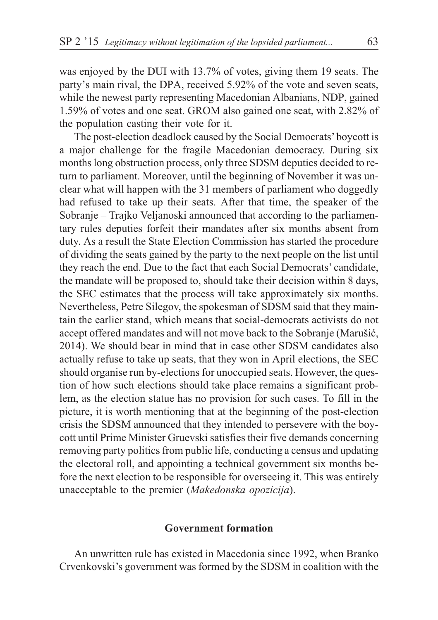was enjoyed by the DUI with 13.7% of votes, giving them 19 seats. The party's main rival, the DPA, received 5.92% of the vote and seven seats, while the newest party representing Macedonian Albanians, NDP, gained 1.59% of votes and one seat. GROM also gained one seat, with 2.82% of the population casting their vote for it.

The post-election deadlock caused by the Social Democrats'boycott is a major challenge for the fragile Macedonian democracy. During six months long obstruction process, only three SDSM deputies decided to return to parliament. Moreover, until the beginning of November it was unclear what will happen with the 31 members of parliament who doggedly had refused to take up their seats. After that time, the speaker of the Sobranje – Trajko Veljanoski announced that according to the parliamentary rules deputies forfeit their mandates after six months absent from duty. As a result the State Election Commission has started the procedure of dividing the seats gained by the party to the next people on the list until they reach the end. Due to the fact that each Social Democrats' candidate, the mandate will be proposed to, should take their decision within 8 days, the SEC estimates that the process will take approximately six months. Nevertheless, Petre Silegov, the spokesman of SDSM said that they maintain the earlier stand, which means that social-democrats activists do not accept offered mandates and will not move back to the Sobranje (Marušić, 2014). We should bear in mind that in case other SDSM candidates also actually refuse to take up seats, that they won in April elections, the SEC should organise run by-elections for unoccupied seats. However, the question of how such elections should take place remains a significant problem, as the election statue has no provision for such cases. To fill in the picture, it is worth mentioning that at the beginning of the post-election crisis the SDSM announced that they intended to persevere with the boycott until Prime Minister Gruevski satisfies their five demands concerning removing party politics from public life, conducting a census and updating the electoral roll, and appointing a technical government six months before the next election to be responsible for overseeing it. This was entirely unacceptable to the premier (*Makedonska opozicija*).

# **Government formation**

An unwritten rule has existed in Macedonia since 1992, when Branko Crvenkovski's government was formed by the SDSM in coalition with the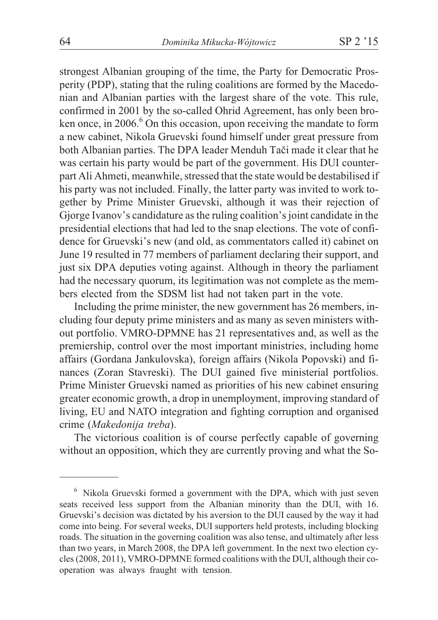strongest Albanian grouping of the time, the Party for Democratic Prosperity (PDP), stating that the ruling coalitions are formed by the Macedonian and Albanian parties with the largest share of the vote. This rule, confirmed in 2001 by the so-called Ohrid Agreement, has only been broken once, in  $2006<sup>6</sup>$  On this occasion, upon receiving the mandate to form a new cabinet, Nikola Gruevski found himself under great pressure from both Albanian parties. The DPA leader Menduh Taèi made it clear that he was certain his party would be part of the government. His DUI counterpart Ali Ahmeti, meanwhile, stressed that the state would be destabilised if his party was not included. Finally, the latter party was invited to work together by Prime Minister Gruevski, although it was their rejection of Gjorge Ivanov's candidature as the ruling coalition's joint candidate in the presidential elections that had led to the snap elections. The vote of confidence for Gruevski's new (and old, as commentators called it) cabinet on June 19 resulted in 77 members of parliament declaring their support, and just six DPA deputies voting against. Although in theory the parliament had the necessary quorum, its legitimation was not complete as the members elected from the SDSM list had not taken part in the vote.

Including the prime minister, the new government has 26 members, including four deputy prime ministers and as many as seven ministers without portfolio. VMRO-DPMNE has 21 representatives and, as well as the premiership, control over the most important ministries, including home affairs (Gordana Jankulovska), foreign affairs (Nikola Popovski) and finances (Zoran Stavreski). The DUI gained five ministerial portfolios. Prime Minister Gruevski named as priorities of his new cabinet ensuring greater economic growth, a drop in unemployment, improving standard of living, EU and NATO integration and fighting corruption and organised crime (*Makedonija treba*).

The victorious coalition is of course perfectly capable of governing without an opposition, which they are currently proving and what the So-

 $6$  Nikola Gruevski formed a government with the DPA, which with just seven seats received less support from the Albanian minority than the DUI, with 16. Gruevski's decision was dictated by his aversion to the DUI caused by the way it had come into being. For several weeks, DUI supporters held protests, including blocking roads. The situation in the governing coalition was also tense, and ultimately after less than two years, in March 2008, the DPA left government. In the next two election cycles (2008, 2011), VMRO-DPMNE formed coalitions with the DUI, although their cooperation was always fraught with tension.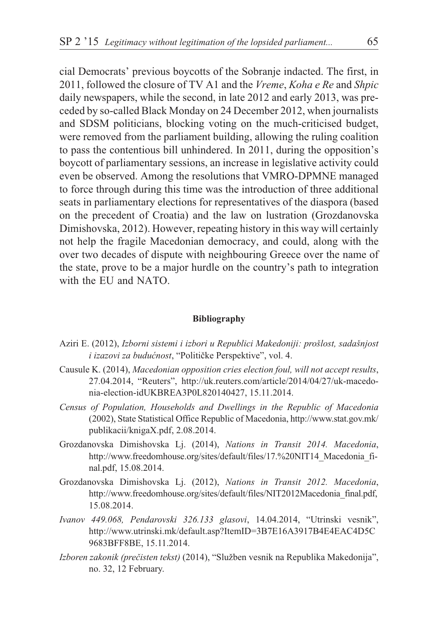cial Democrats' previous boycotts of the Sobranje indacted. The first, in 2011, followed the closure of TV A1 and the *Vreme*, *Koha e Re* and *Shpic* daily newspapers, while the second, in late 2012 and early 2013, was preceded by so-called Black Monday on 24 December 2012, when journalists and SDSM politicians, blocking voting on the much-criticised budget, were removed from the parliament building, allowing the ruling coalition to pass the contentious bill unhindered. In 2011, during the opposition's boycott of parliamentary sessions, an increase in legislative activity could even be observed. Among the resolutions that VMRO-DPMNE managed to force through during this time was the introduction of three additional seats in parliamentary elections for representatives of the diaspora (based on the precedent of Croatia) and the law on lustration (Grozdanovska Dimishovska, 2012). However, repeating history in this way will certainly not help the fragile Macedonian democracy, and could, along with the over two decades of dispute with neighbouring Greece over the name of the state, prove to be a major hurdle on the country's path to integration with the EU and NATO.

#### **Bibliography**

- Aziri E. (2012), *Izborni sistemi i izbori u Republici Makedoniji: prošlost, sadašnjost i izazovi za buduænost*, "Politièke Perspektive", vol. 4.
- Causule K. (2014), *Macedonian opposition cries election foul, will not accept results*, 27.04.2014, "Reuters", http://uk.reuters.com/article/2014/04/27/uk-macedonia-election-idUKBREA3P0L820140427, 15.11.2014.
- *Census of Population, Households and Dwellings in the Republic of Macedonia* (2002), State Statistical Office Republic of Macedonia, http://www.stat.gov.mk/ publikacii/knigaX.pdf, 2.08.2014.
- Grozdanovska Dimishovska Lj. (2014), *Nations in Transit 2014. Macedonia*, http://www.freedomhouse.org/sites/default/files/17.%20NIT14\_Macedonia\_final.pdf, 15.08.2014.
- Grozdanovska Dimishovska Lj. (2012), *Nations in Transit 2012. Macedonia*, http://www.freedomhouse.org/sites/default/files/NIT2012Macedonia\_final.pdf, 15.08.2014.
- *Ivanov 449.068, Pendarovski 326.133 glasovi*, 14.04.2014, "Utrinski vesnik", http://www.utrinski.mk/default.asp?ItemID=3B7E16A3917B4E4EAC4D5C 9683BFF8BE, 15.11.2014.
- *Izboren zakonik (prečisten tekst)* (2014), "Služben vesnik na Republika Makedonija", no. 32, 12 February.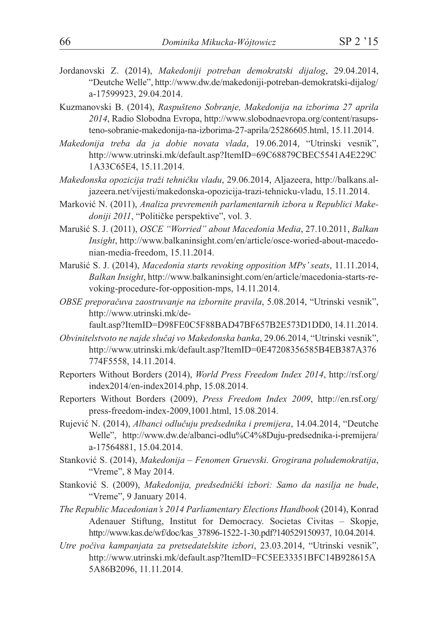- Jordanovski Z. (2014), *Makedoniji potreban demokratski dijalog*, 29.04.2014, "Deutche Welle", http://www.dw.de/makedoniji-potreban-demokratski-dijalog/ a-17599923, 29.04.2014.
- Kuzmanovski B. (2014), *Raspušteno Sobranje, Makedonija na izborima 27 aprila 2014*, Radio Slobodna Evropa, http://www.slobodnaevropa.org/content/rasupsteno-sobranie-makedonija-na-izborima-27-aprila/25286605.html, 15.11.2014.
- *Makedonija treba da ja dobie novata vlada*, 19.06.2014, "Utrinski vesnik", http://www.utrinski.mk/default.asp?ItemID=69C68879CBEC5541A4E229C 1A33C65E4, 15.11.2014.
- Makedonska opozicija traži tehničku vladu, 29.06.2014, Aljazeera, http://balkans.aljazeera.net/vijesti/makedonska-opozicija-trazi-tehnicku-vladu, 15.11.2014.
- Marković N. (2011), *Analiza prevremenih parlamentarnih izbora u Republici Makedoniji 2011*, "Politièke perspektive", vol. 3.
- Marušiæ S. J. (2011), *OSCE "Worried" about Macedonia Media*, 27.10.2011, *Balkan Insight*, http://www.balkaninsight.com/en/article/osce-woried-about-macedonian-media-freedom, 15.11.2014.
- Marušiæ S. J. (2014), *Macedonia starts revoking opposition MPs' seats*, 11.11.2014, *Balkan Insight*, http://www.balkaninsight.com/en/article/macedonia-starts-revoking-procedure-for-opposition-mps, 14.11.2014.
- *OBSE preporaèuva zaostruvanje na izbornite pravila*, 5.08.2014, "Utrinski vesnik", http://www.utrinski.mk/de-

fault.asp?ItemID=D98FE0C5F88BAD47BF657B2E573D1DD0, 14.11.2014.

- *Obvinitelstvoto ne najde sluèaj vo Makedonska banka*, 29.06.2014, "Utrinski vesnik", http://www.utrinski.mk/default.asp?ItemID=0E47208356585B4EB387A376 774F5558, 14.11.2014.
- Reporters Without Borders (2014), *World Press Freedom Index 2014*, http://rsf.org/ index2014/en-index2014.php, 15.08.2014.
- Reporters Without Borders (2009), *Press Freedom Index 2009*, http://en.rsf.org/ press-freedom-index-2009,1001.html, 15.08.2014.
- Rujeviæ N. (2014), *Albanci odluèuju predsednika i premijera*, 14.04.2014, "Deutche Welle", http://www.dw.de/albanci-odlu%C4%8Duju-predsednika-i-premijera/ a-17564881, 15.04.2014.
- Stankoviæ S. (2014), *Makedonija Fenomen Gruevski. Grogirana poludemokratija*, "Vreme", 8 May 2014.
- Stanković S. (2009), Makedonija, predsednički izbori: Samo da nasilja ne bude, "Vreme", 9 January 2014.
- *The Republic Macedonian's 2014 Parliamentary Elections Handbook* (2014), Konrad Adenauer Stiftung, Institut for Democracy. Societas Civitas – Skopje, http://www.kas.de/wf/doc/kas\_37896-1522-1-30.pdf?140529150937, 10.04.2014.
- *Utre poèiva kampanjata za pretsedatelskite izbori*, 23.03.2014, "Utrinski vesnik", http://www.utrinski.mk/default.asp?ItemID=FC5EE33351BFC14B928615A 5A86B2096, 11.11.2014.